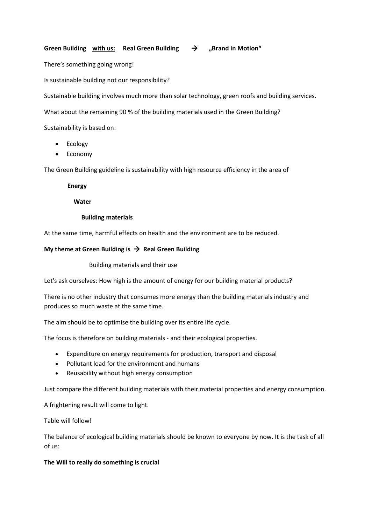# **Green Building with us:** Real Green Building  $\rightarrow$  "Brand in Motion"

There's something going wrong!

Is sustainable building not our responsibility?

Sustainable building involves much more than solar technology, green roofs and building services.

What about the remaining 90 % of the building materials used in the Green Building?

Sustainability is based on:

- Ecology
- Economy

The Green Building guideline is sustainability with high resource efficiency in the area of

 **Energy** 

 **Water**

 **Building materials**

At the same time, harmful effects on health and the environment are to be reduced.

# **My theme at Green Building is**  $\rightarrow$  **Real Green Building**

Building materials and their use

Let's ask ourselves: How high is the amount of energy for our building material products?

There is no other industry that consumes more energy than the building materials industry and produces so much waste at the same time.

The aim should be to optimise the building over its entire life cycle.

The focus is therefore on building materials - and their ecological properties.

- Expenditure on energy requirements for production, transport and disposal
- Pollutant load for the environment and humans
- Reusability without high energy consumption

Just compare the different building materials with their material properties and energy consumption.

A frightening result will come to light.

Table will follow!

The balance of ecological building materials should be known to everyone by now. It is the task of all of us:

## **The Will to really do something is crucial**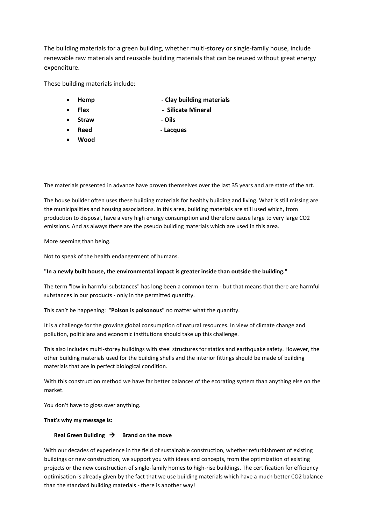The building materials for a green building, whether multi-storey or single-family house, include renewable raw materials and reusable building materials that can be reused without great energy expenditure.

These building materials include:

- **Hemp - Clay building materials**
- **Flex Silicate Mineral**
- **Straw - Oils**
	-
	- **Reed - Lacques**
- **Wood**

The materials presented in advance have proven themselves over the last 35 years and are state of the art.

The house builder often uses these building materials for healthy building and living. What is still missing are the municipalities and housing associations. In this area, building materials are still used which, from production to disposal, have a very high energy consumption and therefore cause large to very large CO2 emissions. And as always there are the pseudo building materials which are used in this area.

More seeming than being.

Not to speak of the health endangerment of humans.

## **"In a newly built house, the environmental impact is greater inside than outside the building."**

The term "low in harmful substances" has long been a common term - but that means that there are harmful substances in our products - only in the permitted quantity.

This can't be happening: "**Poison is poisonous"** no matter what the quantity.

It is a challenge for the growing global consumption of natural resources. In view of climate change and pollution, politicians and economic institutions should take up this challenge.

This also includes multi-storey buildings with steel structures for statics and earthquake safety. However, the other building materials used for the building shells and the interior fittings should be made of building materials that are in perfect biological condition.

With this construction method we have far better balances of the ecorating system than anything else on the market.

You don't have to gloss over anything.

### **That's why my message is:**

### **Real Green Building → Brand on the move**

With our decades of experience in the field of sustainable construction, whether refurbishment of existing buildings or new construction, we support you with ideas and concepts, from the optimization of existing projects or the new construction of single-family homes to high-rise buildings. The certification for efficiency optimisation is already given by the fact that we use building materials which have a much better CO2 balance than the standard building materials - there is another way!